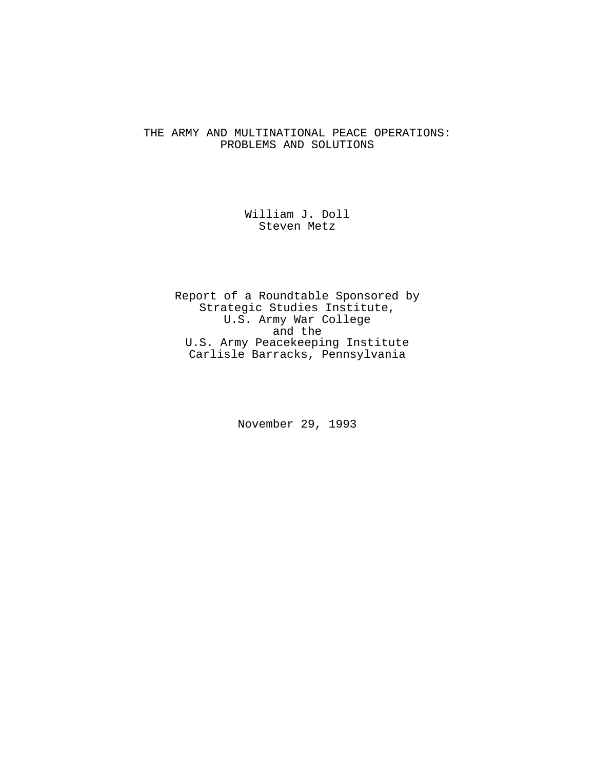# THE ARMY AND MULTINATIONAL PEACE OPERATIONS: PROBLEMS AND SOLUTIONS

# William J. Doll Steven Metz

Report of a Roundtable Sponsored by Strategic Studies Institute, U.S. Army War College and the U.S. Army Peacekeeping Institute Carlisle Barracks, Pennsylvania

November 29, 1993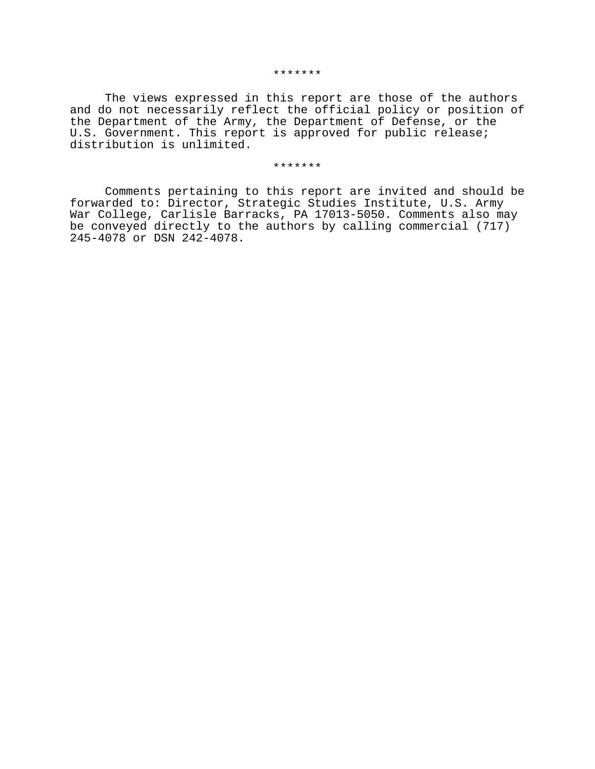The views expressed in this report are those of the authors and do not necessarily reflect the official policy or position of the Department of the Army, the Department of Defense, or the U.S. Government. This report is approved for public release; distribution is unlimited.

#### \*\*\*\*\*\*\*

Comments pertaining to this report are invited and should be forwarded to: Director, Strategic Studies Institute, U.S. Army War College, Carlisle Barracks, PA 17013-5050. Comments also may be conveyed directly to the authors by calling commercial (717) 245-4078 or DSN 242-4078.

#### \*\*\*\*\*\*\*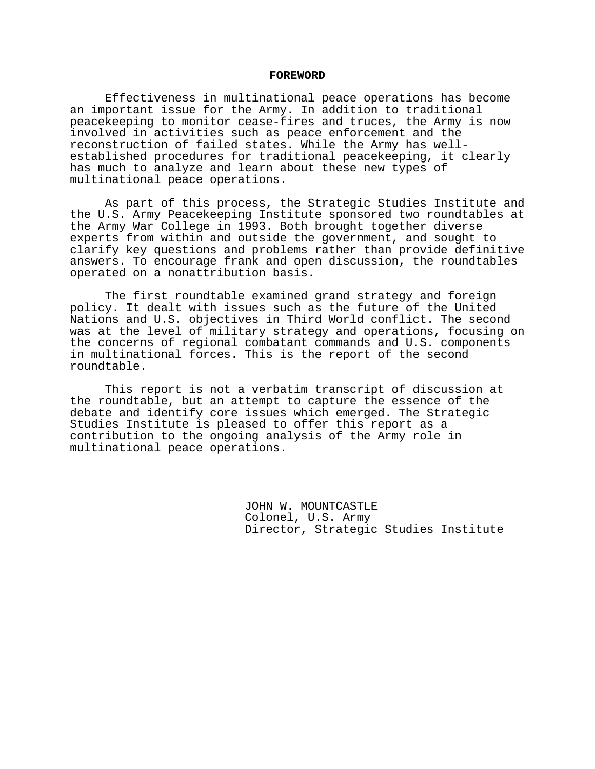#### **FOREWORD**

Effectiveness in multinational peace operations has become an important issue for the Army. In addition to traditional peacekeeping to monitor cease-fires and truces, the Army is now involved in activities such as peace enforcement and the reconstruction of failed states. While the Army has wellestablished procedures for traditional peacekeeping, it clearly has much to analyze and learn about these new types of multinational peace operations.

As part of this process, the Strategic Studies Institute and the U.S. Army Peacekeeping Institute sponsored two roundtables at the Army War College in 1993. Both brought together diverse experts from within and outside the government, and sought to clarify key questions and problems rather than provide definitive answers. To encourage frank and open discussion, the roundtables operated on a nonattribution basis.

The first roundtable examined grand strategy and foreign policy. It dealt with issues such as the future of the United Nations and U.S. objectives in Third World conflict. The second was at the level of military strategy and operations, focusing on the concerns of regional combatant commands and U.S. components in multinational forces. This is the report of the second roundtable.

This report is not a verbatim transcript of discussion at the roundtable, but an attempt to capture the essence of the debate and identify core issues which emerged. The Strategic Studies Institute is pleased to offer this report as a contribution to the ongoing analysis of the Army role in multinational peace operations.

> JOHN W. MOUNTCASTLE Colonel, U.S. Army Director, Strategic Studies Institute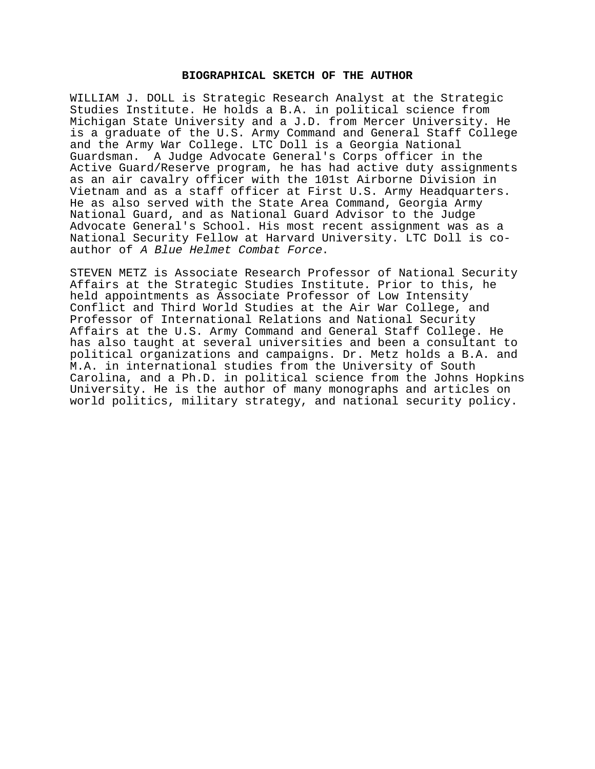## **BIOGRAPHICAL SKETCH OF THE AUTHOR**

WILLIAM J. DOLL is Strategic Research Analyst at the Strategic Studies Institute. He holds a B.A. in political science from Michigan State University and a J.D. from Mercer University. He is a graduate of the U.S. Army Command and General Staff College and the Army War College. LTC Doll is a Georgia National Guardsman. A Judge Advocate General's Corps officer in the Active Guard/Reserve program, he has had active duty assignments as an air cavalry officer with the 101st Airborne Division in Vietnam and as a staff officer at First U.S. Army Headquarters. He as also served with the State Area Command, Georgia Army National Guard, and as National Guard Advisor to the Judge Advocate General's School. His most recent assignment was as a National Security Fellow at Harvard University. LTC Doll is coauthor of A Blue Helmet Combat Force.

STEVEN METZ is Associate Research Professor of National Security Affairs at the Strategic Studies Institute. Prior to this, he held appointments as Associate Professor of Low Intensity Conflict and Third World Studies at the Air War College, and Professor of International Relations and National Security Affairs at the U.S. Army Command and General Staff College. He has also taught at several universities and been a consultant to political organizations and campaigns. Dr. Metz holds a B.A. and M.A. in international studies from the University of South Carolina, and a Ph.D. in political science from the Johns Hopkins University. He is the author of many monographs and articles on world politics, military strategy, and national security policy.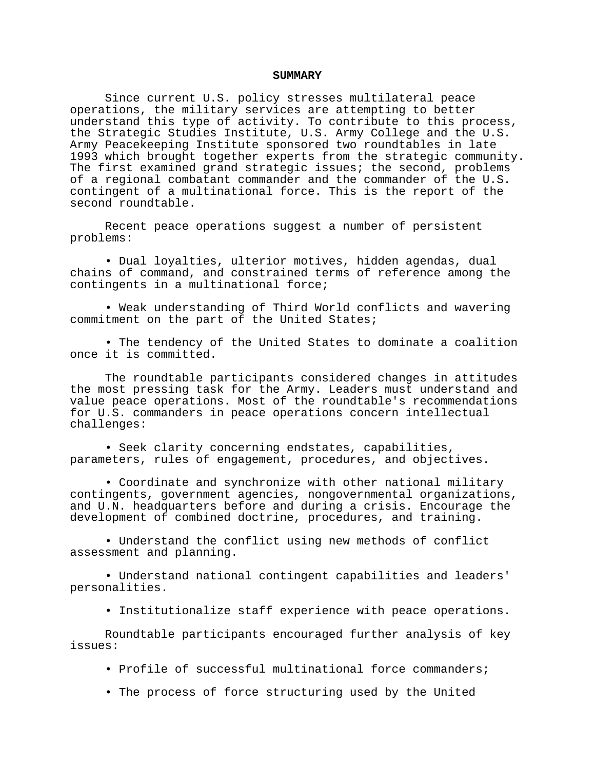#### **SUMMARY**

Since current U.S. policy stresses multilateral peace operations, the military services are attempting to better understand this type of activity. To contribute to this process, the Strategic Studies Institute, U.S. Army College and the U.S. Army Peacekeeping Institute sponsored two roundtables in late 1993 which brought together experts from the strategic community. The first examined grand strategic issues; the second, problems of a regional combatant commander and the commander of the U.S. contingent of a multinational force. This is the report of the second roundtable.

Recent peace operations suggest a number of persistent problems:

• Dual loyalties, ulterior motives, hidden agendas, dual chains of command, and constrained terms of reference among the contingents in a multinational force;

• Weak understanding of Third World conflicts and wavering commitment on the part of the United States;

• The tendency of the United States to dominate a coalition once it is committed.

The roundtable participants considered changes in attitudes the most pressing task for the Army. Leaders must understand and value peace operations. Most of the roundtable's recommendations for U.S. commanders in peace operations concern intellectual challenges:

• Seek clarity concerning endstates, capabilities, parameters, rules of engagement, procedures, and objectives.

• Coordinate and synchronize with other national military contingents, government agencies, nongovernmental organizations, and U.N. headquarters before and during a crisis. Encourage the development of combined doctrine, procedures, and training.

• Understand the conflict using new methods of conflict assessment and planning.

• Understand national contingent capabilities and leaders' personalities.

• Institutionalize staff experience with peace operations.

Roundtable participants encouraged further analysis of key issues:

- Profile of successful multinational force commanders;
- The process of force structuring used by the United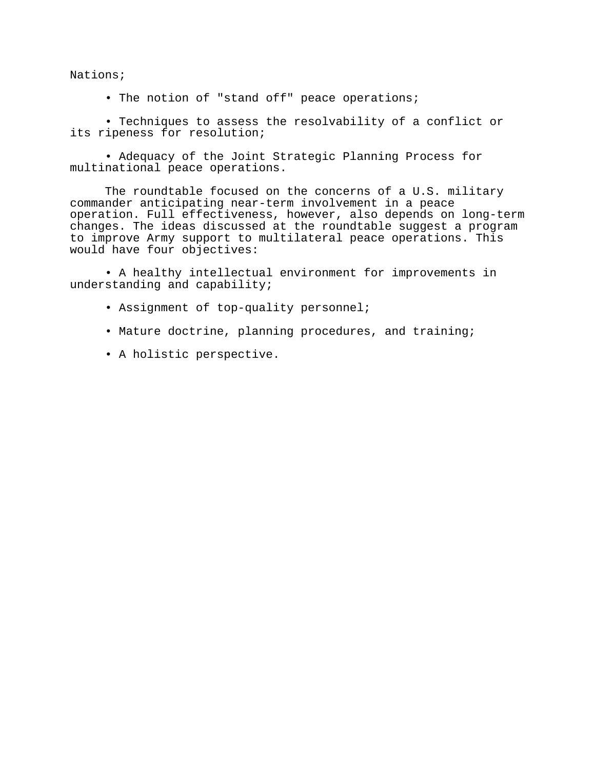Nations;

• The notion of "stand off" peace operations;

• Techniques to assess the resolvability of a conflict or its ripeness for resolution;

• Adequacy of the Joint Strategic Planning Process for multinational peace operations.

The roundtable focused on the concerns of a U.S. military commander anticipating near-term involvement in a peace operation. Full effectiveness, however, also depends on long-term changes. The ideas discussed at the roundtable suggest a program to improve Army support to multilateral peace operations. This would have four objectives:

• A healthy intellectual environment for improvements in understanding and capability;

- Assignment of top-quality personnel;
- Mature doctrine, planning procedures, and training;
- A holistic perspective.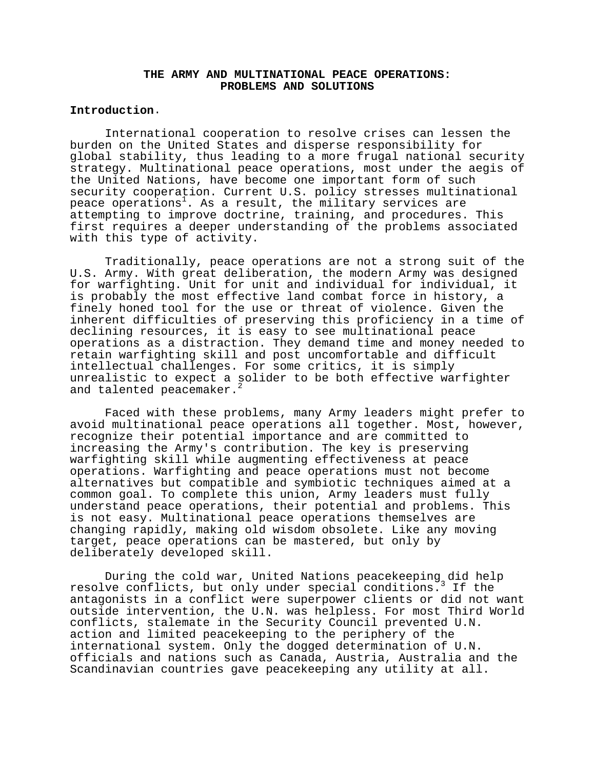## **THE ARMY AND MULTINATIONAL PEACE OPERATIONS: PROBLEMS AND SOLUTIONS**

### **Introduction**.

International cooperation to resolve crises can lessen the burden on the United States and disperse responsibility for global stability, thus leading to a more frugal national security strategy. Multinational peace operations, most under the aegis of the United Nations, have become one important form of such security cooperation. Current U.S. policy stresses multinational peace operations<sup>1</sup>. As a result, the military services are attempting to improve doctrine, training, and procedures. This first requires a deeper understanding of the problems associated with this type of activity.

Traditionally, peace operations are not a strong suit of the U.S. Army. With great deliberation, the modern Army was designed for warfighting. Unit for unit and individual for individual, it is probably the most effective land combat force in history, a finely honed tool for the use or threat of violence. Given the inherent difficulties of preserving this proficiency in a time of declining resources, it is easy to see multinational peace operations as a distraction. They demand time and money needed to retain warfighting skill and post uncomfortable and difficult intellectual challenges. For some critics, it is simply unrealistic to expect a solider to be both effective warfighter and talented peacemaker.<sup>2</sup>

Faced with these problems, many Army leaders might prefer to avoid multinational peace operations all together. Most, however, recognize their potential importance and are committed to increasing the Army's contribution. The key is preserving warfighting skill while augmenting effectiveness at peace operations. Warfighting and peace operations must not become alternatives but compatible and symbiotic techniques aimed at a common goal. To complete this union, Army leaders must fully understand peace operations, their potential and problems. This is not easy. Multinational peace operations themselves are changing rapidly, making old wisdom obsolete. Like any moving target, peace operations can be mastered, but only by deliberately developed skill.

During the cold war, United Nations peacekeeping did help resolve conflicts, but only under special conditions.<sup>3</sup> If the antagonists in a conflict were superpower clients or did not want outside intervention, the U.N. was helpless. For most Third World conflicts, stalemate in the Security Council prevented U.N. action and limited peacekeeping to the periphery of the international system. Only the dogged determination of U.N. officials and nations such as Canada, Austria, Australia and the Scandinavian countries gave peacekeeping any utility at all.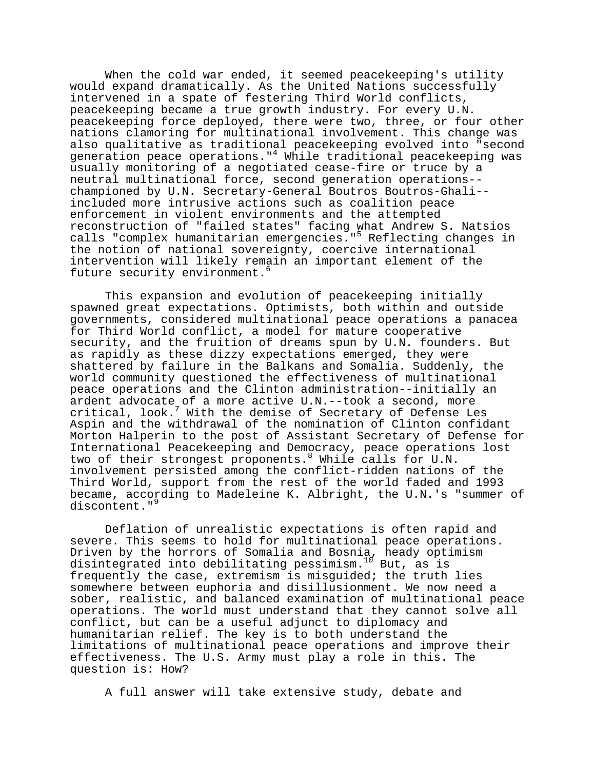When the cold war ended, it seemed peacekeeping's utility would expand dramatically. As the United Nations successfully intervened in a spate of festering Third World conflicts, peacekeeping became a true growth industry. For every U.N. peacekeeping force deployed, there were two, three, or four other nations clamoring for multinational involvement. This change was also qualitative as traditional peacekeeping evolved into "second generation peace operations."4 While traditional peacekeeping was usually monitoring of a negotiated cease-fire or truce by a neutral multinational force, second generation operations- championed by U.N. Secretary-General Boutros Boutros-Ghali- included more intrusive actions such as coalition peace enforcement in violent environments and the attempted reconstruction of "failed states" facing what Andrew S. Natsios calls "complex humanitarian emergencies."5 Reflecting changes in the notion of national sovereignty, coercive international intervention will likely remain an important element of the future security environment.<sup>6</sup>

This expansion and evolution of peacekeeping initially spawned great expectations. Optimists, both within and outside governments, considered multinational peace operations a panacea for Third World conflict, a model for mature cooperative security, and the fruition of dreams spun by U.N. founders. But as rapidly as these dizzy expectations emerged, they were shattered by failure in the Balkans and Somalia. Suddenly, the world community questioned the effectiveness of multinational peace operations and the Clinton administration--initially an ardent advocate of a more active U.N.--took a second, more critical, look.7 With the demise of Secretary of Defense Les Aspin and the withdrawal of the nomination of Clinton confidant Morton Halperin to the post of Assistant Secretary of Defense for International Peacekeeping and Democracy, peace operations lost two of their strongest proponents. While calls for U.N. involvement persisted among the conflict-ridden nations of the Third World, support from the rest of the world faded and 1993 became, according to Madeleine K. Albright, the U.N.'s "summer of discontent."<sup>9</sup>

Deflation of unrealistic expectations is often rapid and severe. This seems to hold for multinational peace operations. Driven by the horrors of Somalia and Bosnia, heady optimism disintegrated into debilitating pessimism.<sup>10</sup> But, as is frequently the case, extremism is misguided; the truth lies somewhere between euphoria and disillusionment. We now need a sober, realistic, and balanced examination of multinational peace operations. The world must understand that they cannot solve all conflict, but can be a useful adjunct to diplomacy and humanitarian relief. The key is to both understand the limitations of multinational peace operations and improve their effectiveness. The U.S. Army must play a role in this. The question is: How?

A full answer will take extensive study, debate and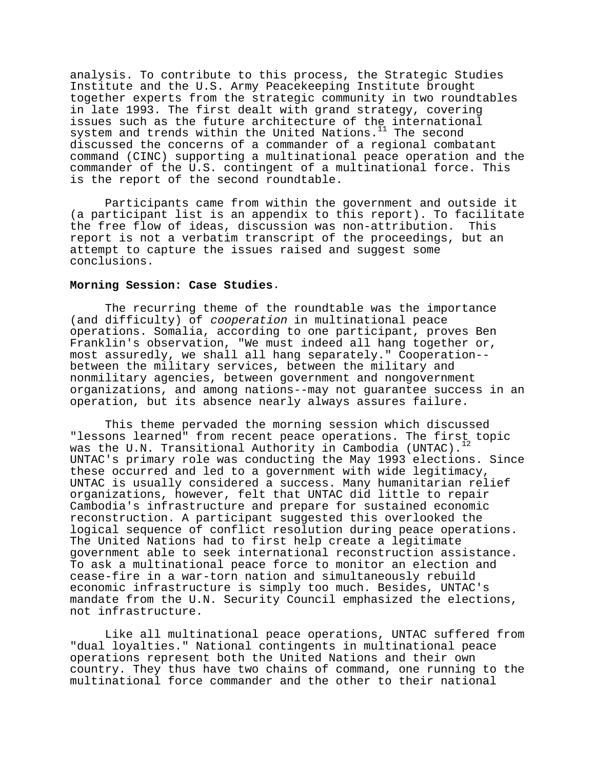analysis. To contribute to this process, the Strategic Studies Institute and the U.S. Army Peacekeeping Institute brought together experts from the strategic community in two roundtables in late 1993. The first dealt with grand strategy, covering issues such as the future architecture of the international system and trends within the United Nations.<sup>11</sup> The second discussed the concerns of a commander of a regional combatant command (CINC) supporting a multinational peace operation and the commander of the U.S. contingent of a multinational force. This is the report of the second roundtable.

Participants came from within the government and outside it (a participant list is an appendix to this report). To facilitate the free flow of ideas, discussion was non-attribution. This report is not a verbatim transcript of the proceedings, but an attempt to capture the issues raised and suggest some conclusions.

### **Morning Session: Case Studies**.

The recurring theme of the roundtable was the importance (and difficulty) of cooperation in multinational peace operations. Somalia, according to one participant, proves Ben Franklin's observation, "We must indeed all hang together or, most assuredly, we shall all hang separately." Cooperation- between the military services, between the military and nonmilitary agencies, between government and nongovernment organizations, and among nations--may not guarantee success in an operation, but its absence nearly always assures failure.

This theme pervaded the morning session which discussed "lessons learned" from recent peace operations. The first topic was the U.N. Transitional Authority in Cambodia (UNTAC). UNTAC's primary role was conducting the May 1993 elections. Since these occurred and led to a government with wide legitimacy, UNTAC is usually considered a success. Many humanitarian relief organizations, however, felt that UNTAC did little to repair Cambodia's infrastructure and prepare for sustained economic reconstruction. A participant suggested this overlooked the logical sequence of conflict resolution during peace operations. The United Nations had to first help create a legitimate government able to seek international reconstruction assistance. To ask a multinational peace force to monitor an election and cease-fire in a war-torn nation and simultaneously rebuild economic infrastructure is simply too much. Besides, UNTAC's mandate from the U.N. Security Council emphasized the elections, not infrastructure.

Like all multinational peace operations, UNTAC suffered from "dual loyalties." National contingents in multinational peace operations represent both the United Nations and their own country. They thus have two chains of command, one running to the multinational force commander and the other to their national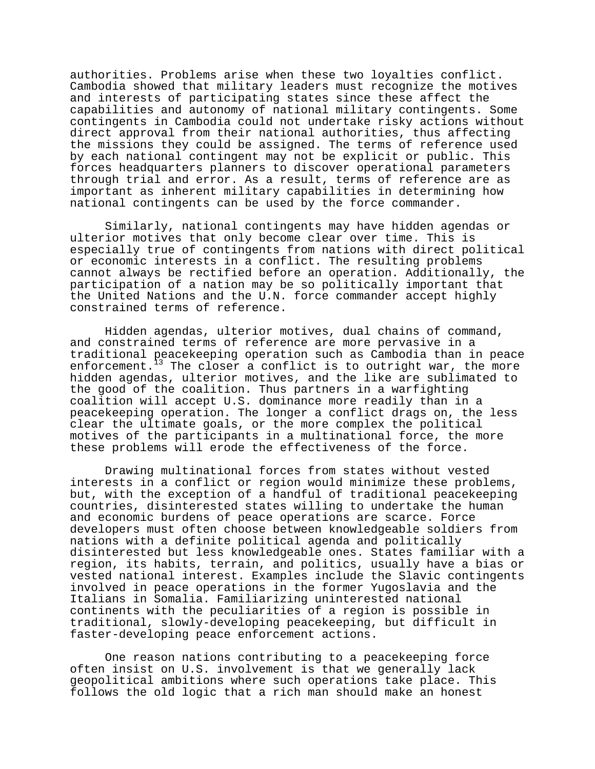authorities. Problems arise when these two loyalties conflict. Cambodia showed that military leaders must recognize the motives and interests of participating states since these affect the capabilities and autonomy of national military contingents. Some contingents in Cambodia could not undertake risky actions without direct approval from their national authorities, thus affecting the missions they could be assigned. The terms of reference used by each national contingent may not be explicit or public. This forces headquarters planners to discover operational parameters through trial and error. As a result, terms of reference are as important as inherent military capabilities in determining how national contingents can be used by the force commander.

Similarly, national contingents may have hidden agendas or ulterior motives that only become clear over time. This is especially true of contingents from nations with direct political or economic interests in a conflict. The resulting problems cannot always be rectified before an operation. Additionally, the participation of a nation may be so politically important that the United Nations and the U.N. force commander accept highly constrained terms of reference.

Hidden agendas, ulterior motives, dual chains of command, and constrained terms of reference are more pervasive in a traditional peacekeeping operation such as Cambodia than in peace enforcement.<sup>13</sup> The closer a conflict is to outright war, the more hidden agendas, ulterior motives, and the like are sublimated to the good of the coalition. Thus partners in a warfighting coalition will accept U.S. dominance more readily than in a peacekeeping operation. The longer a conflict drags on, the less clear the ultimate goals, or the more complex the political motives of the participants in a multinational force, the more these problems will erode the effectiveness of the force.

Drawing multinational forces from states without vested interests in a conflict or region would minimize these problems, but, with the exception of a handful of traditional peacekeeping countries, disinterested states willing to undertake the human and economic burdens of peace operations are scarce. Force developers must often choose between knowledgeable soldiers from nations with a definite political agenda and politically disinterested but less knowledgeable ones. States familiar with a region, its habits, terrain, and politics, usually have a bias or vested national interest. Examples include the Slavic contingents involved in peace operations in the former Yugoslavia and the Italians in Somalia. Familiarizing uninterested national continents with the peculiarities of a region is possible in traditional, slowly-developing peacekeeping, but difficult in faster-developing peace enforcement actions.

One reason nations contributing to a peacekeeping force often insist on U.S. involvement is that we generally lack geopolitical ambitions where such operations take place. This follows the old logic that a rich man should make an honest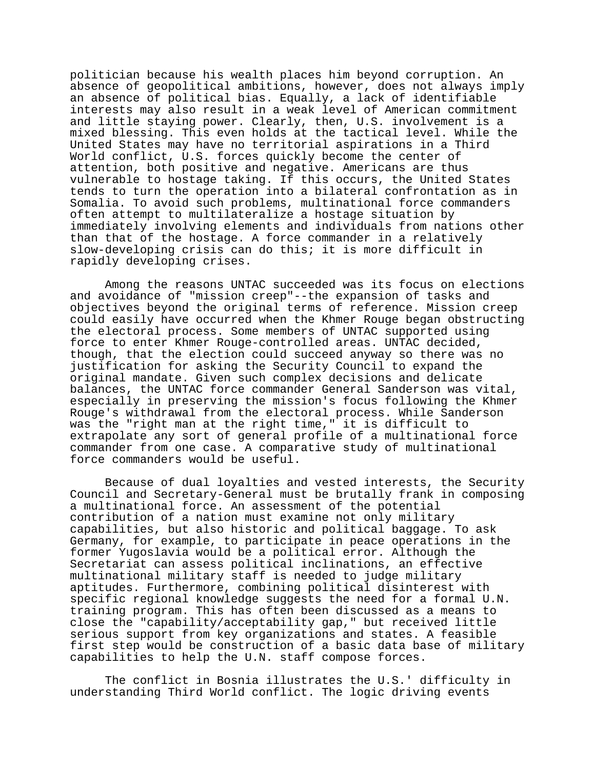politician because his wealth places him beyond corruption. An absence of geopolitical ambitions, however, does not always imply an absence of political bias. Equally, a lack of identifiable interests may also result in a weak level of American commitment and little staying power. Clearly, then, U.S. involvement is a mixed blessing. This even holds at the tactical level. While the United States may have no territorial aspirations in a Third World conflict, U.S. forces quickly become the center of attention, both positive and negative. Americans are thus vulnerable to hostage taking. If this occurs, the United States tends to turn the operation into a bilateral confrontation as in Somalia. To avoid such problems, multinational force commanders often attempt to multilateralize a hostage situation by immediately involving elements and individuals from nations other than that of the hostage. A force commander in a relatively slow-developing crisis can do this; it is more difficult in rapidly developing crises.

Among the reasons UNTAC succeeded was its focus on elections and avoidance of "mission creep"--the expansion of tasks and objectives beyond the original terms of reference. Mission creep could easily have occurred when the Khmer Rouge began obstructing the electoral process. Some members of UNTAC supported using force to enter Khmer Rouge-controlled areas. UNTAC decided, though, that the election could succeed anyway so there was no justification for asking the Security Council to expand the original mandate. Given such complex decisions and delicate balances, the UNTAC force commander General Sanderson was vital, especially in preserving the mission's focus following the Khmer Rouge's withdrawal from the electoral process. While Sanderson was the "right man at the right time," it is difficult to extrapolate any sort of general profile of a multinational force commander from one case. A comparative study of multinational force commanders would be useful.

Because of dual loyalties and vested interests, the Security Council and Secretary-General must be brutally frank in composing a multinational force. An assessment of the potential contribution of a nation must examine not only military capabilities, but also historic and political baggage. To ask Germany, for example, to participate in peace operations in the former Yugoslavia would be a political error. Although the Secretariat can assess political inclinations, an effective multinational military staff is needed to judge military aptitudes. Furthermore, combining political disinterest with specific regional knowledge suggests the need for a formal U.N. training program. This has often been discussed as a means to close the "capability/acceptability gap," but received little serious support from key organizations and states. A feasible first step would be construction of a basic data base of military capabilities to help the U.N. staff compose forces.

The conflict in Bosnia illustrates the U.S.' difficulty in understanding Third World conflict. The logic driving events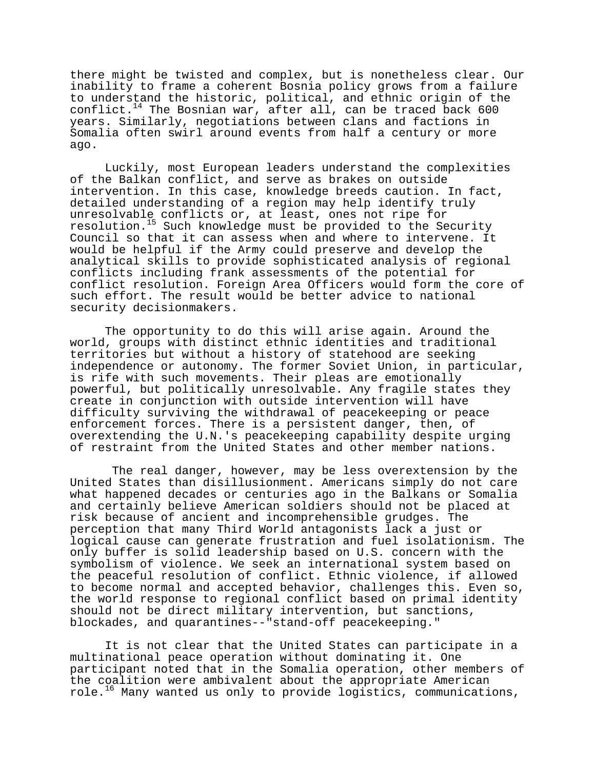there might be twisted and complex, but is nonetheless clear. Our inability to frame a coherent Bosnia policy grows from a failure to understand the historic, political, and ethnic origin of the conflict. $14$  The Bosnian war, after all, can be traced back 600 years. Similarly, negotiations between clans and factions in Somalia often swirl around events from half a century or more ago.

Luckily, most European leaders understand the complexities of the Balkan conflict, and serve as brakes on outside intervention. In this case, knowledge breeds caution. In fact, detailed understanding of a region may help identify truly unresolvable conflicts or, at least, ones not ripe for resolution.15 Such knowledge must be provided to the Security Council so that it can assess when and where to intervene. It would be helpful if the Army could preserve and develop the analytical skills to provide sophisticated analysis of regional conflicts including frank assessments of the potential for conflict resolution. Foreign Area Officers would form the core of such effort. The result would be better advice to national security decisionmakers.

The opportunity to do this will arise again. Around the world, groups with distinct ethnic identities and traditional territories but without a history of statehood are seeking independence or autonomy. The former Soviet Union, in particular, is rife with such movements. Their pleas are emotionally powerful, but politically unresolvable. Any fragile states they create in conjunction with outside intervention will have difficulty surviving the withdrawal of peacekeeping or peace enforcement forces. There is a persistent danger, then, of overextending the U.N.'s peacekeeping capability despite urging of restraint from the United States and other member nations.

 The real danger, however, may be less overextension by the United States than disillusionment. Americans simply do not care what happened decades or centuries ago in the Balkans or Somalia and certainly believe American soldiers should not be placed at risk because of ancient and incomprehensible grudges. The perception that many Third World antagonists lack a just or logical cause can generate frustration and fuel isolationism. The only buffer is solid leadership based on U.S. concern with the symbolism of violence. We seek an international system based on the peaceful resolution of conflict. Ethnic violence, if allowed to become normal and accepted behavior, challenges this. Even so, the world response to regional conflict based on primal identity should not be direct military intervention, but sanctions, blockades, and quarantines--"stand-off peacekeeping."

It is not clear that the United States can participate in a multinational peace operation without dominating it. One participant noted that in the Somalia operation, other members of the coalition were ambivalent about the appropriate American role. $16$  Many wanted us only to provide logistics, communications,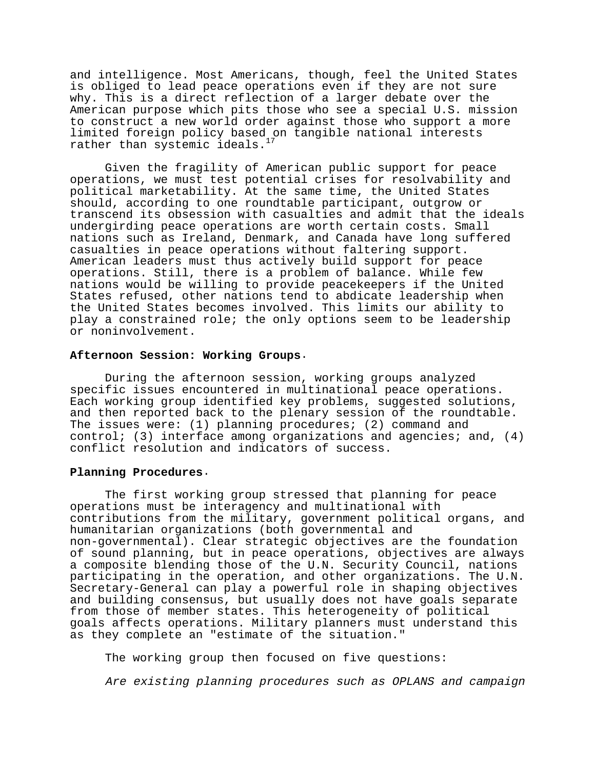and intelligence. Most Americans, though, feel the United States is obliged to lead peace operations even if they are not sure why. This is a direct reflection of a larger debate over the American purpose which pits those who see a special U.S. mission to construct a new world order against those who support a more limited foreign policy based on tangible national interests rather than systemic ideals.

Given the fragility of American public support for peace operations, we must test potential crises for resolvability and political marketability. At the same time, the United States should, according to one roundtable participant, outgrow or transcend its obsession with casualties and admit that the ideals undergirding peace operations are worth certain costs. Small nations such as Ireland, Denmark, and Canada have long suffered casualties in peace operations without faltering support. American leaders must thus actively build support for peace operations. Still, there is a problem of balance. While few nations would be willing to provide peacekeepers if the United States refused, other nations tend to abdicate leadership when the United States becomes involved. This limits our ability to play a constrained role; the only options seem to be leadership or noninvolvement.

#### **Afternoon Session: Working Groups**.

During the afternoon session, working groups analyzed specific issues encountered in multinational peace operations. Each working group identified key problems, suggested solutions, and then reported back to the plenary session of the roundtable. The issues were: (1) planning procedures; (2) command and control; (3) interface among organizations and agencies; and,  $(4)$ conflict resolution and indicators of success.

## **Planning Procedures**.

The first working group stressed that planning for peace operations must be interagency and multinational with contributions from the military, government political organs, and humanitarian organizations (both governmental and non-governmental). Clear strategic objectives are the foundation of sound planning, but in peace operations, objectives are always a composite blending those of the U.N. Security Council, nations participating in the operation, and other organizations. The U.N. Secretary-General can play a powerful role in shaping objectives and building consensus, but usually does not have goals separate from those of member states. This heterogeneity of political goals affects operations. Military planners must understand this as they complete an "estimate of the situation."

The working group then focused on five questions:

Are existing planning procedures such as OPLANS and campaign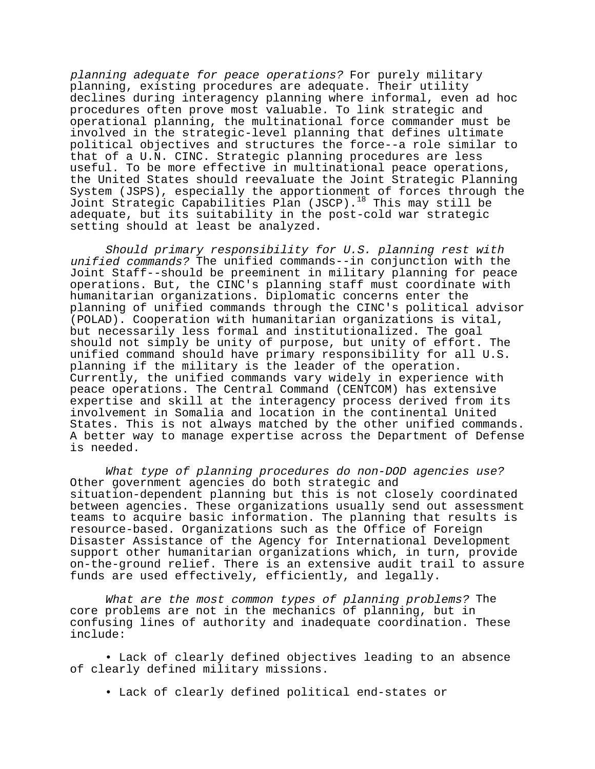planning adequate for peace operations? For purely military planning, existing procedures are adequate. Their utility declines during interagency planning where informal, even ad hoc procedures often prove most valuable. To link strategic and operational planning, the multinational force commander must be involved in the strategic-level planning that defines ultimate political objectives and structures the force--a role similar to that of a U.N. CINC. Strategic planning procedures are less useful. To be more effective in multinational peace operations, the United States should reevaluate the Joint Strategic Planning System (JSPS), especially the apportionment of forces through the Joint Strategic Capabilities Plan (JSCP).18 This may still be adequate, but its suitability in the post-cold war strategic setting should at least be analyzed.

Should primary responsibility for U.S. planning rest with unified commands? The unified commands--in conjunction with the Joint Staff--should be preeminent in military planning for peace operations. But, the CINC's planning staff must coordinate with humanitarian organizations. Diplomatic concerns enter the planning of unified commands through the CINC's political advisor (POLAD). Cooperation with humanitarian organizations is vital, but necessarily less formal and institutionalized. The goal should not simply be unity of purpose, but unity of effort. The unified command should have primary responsibility for all U.S. planning if the military is the leader of the operation. Currently, the unified commands vary widely in experience with peace operations. The Central Command (CENTCOM) has extensive expertise and skill at the interagency process derived from its involvement in Somalia and location in the continental United States. This is not always matched by the other unified commands. A better way to manage expertise across the Department of Defense is needed.

What type of planning procedures do non-DOD agencies use? Other government agencies do both strategic and situation-dependent planning but this is not closely coordinated between agencies. These organizations usually send out assessment teams to acquire basic information. The planning that results is resource-based. Organizations such as the Office of Foreign Disaster Assistance of the Agency for International Development support other humanitarian organizations which, in turn, provide on-the-ground relief. There is an extensive audit trail to assure funds are used effectively, efficiently, and legally.

What are the most common types of planning problems? The core problems are not in the mechanics of planning, but in confusing lines of authority and inadequate coordination. These include:

• Lack of clearly defined objectives leading to an absence of clearly defined military missions.

• Lack of clearly defined political end-states or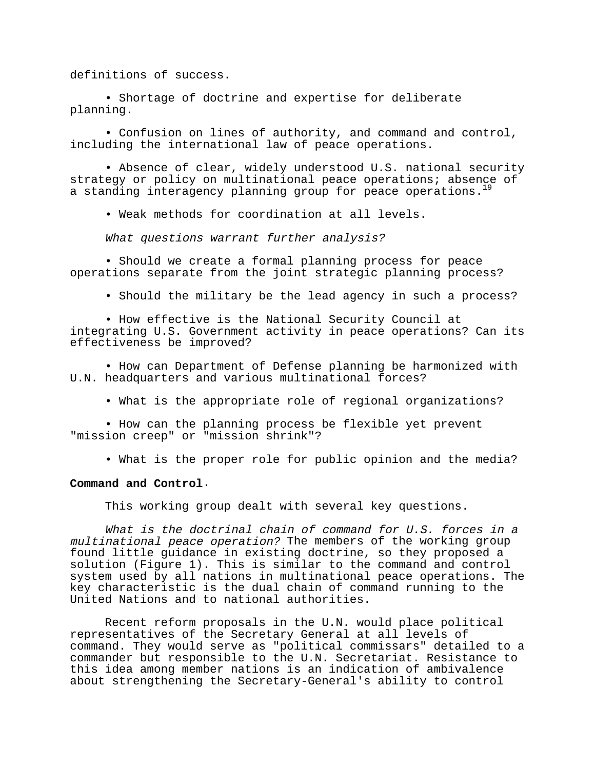definitions of success.

• Shortage of doctrine and expertise for deliberate planning.

• Confusion on lines of authority, and command and control, including the international law of peace operations.

• Absence of clear, widely understood U.S. national security strategy or policy on multinational peace operations; absence of a standing interagency planning group for peace operations.<sup>19</sup>

• Weak methods for coordination at all levels.

What questions warrant further analysis?

• Should we create a formal planning process for peace operations separate from the joint strategic planning process?

• Should the military be the lead agency in such a process?

• How effective is the National Security Council at integrating U.S. Government activity in peace operations? Can its effectiveness be improved?

• How can Department of Defense planning be harmonized with U.N. headquarters and various multinational forces?

• What is the appropriate role of regional organizations?

• How can the planning process be flexible yet prevent "mission creep" or "mission shrink"?

• What is the proper role for public opinion and the media?

#### **Command and Control**.

This working group dealt with several key questions.

What is the doctrinal chain of command for U.S. forces in a multinational peace operation? The members of the working group found little guidance in existing doctrine, so they proposed a solution (Figure 1). This is similar to the command and control system used by all nations in multinational peace operations. The key characteristic is the dual chain of command running to the United Nations and to national authorities.

Recent reform proposals in the U.N. would place political representatives of the Secretary General at all levels of command. They would serve as "political commissars" detailed to a commander but responsible to the U.N. Secretariat. Resistance to this idea among member nations is an indication of ambivalence about strengthening the Secretary-General's ability to control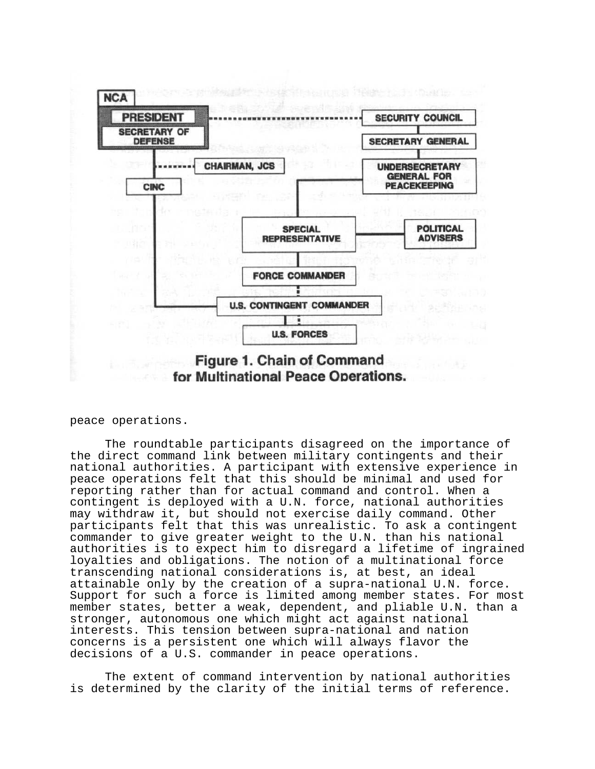

peace operations.

The roundtable participants disagreed on the importance of the direct command link between military contingents and their national authorities. A participant with extensive experience in peace operations felt that this should be minimal and used for reporting rather than for actual command and control. When a contingent is deployed with a U.N. force, national authorities may withdraw it, but should not exercise daily command. Other participants felt that this was unrealistic. To ask a contingent commander to give greater weight to the U.N. than his national authorities is to expect him to disregard a lifetime of ingrained loyalties and obligations. The notion of a multinational force transcending national considerations is, at best, an ideal attainable only by the creation of a supra-national U.N. force. Support for such a force is limited among member states. For most member states, better a weak, dependent, and pliable U.N. than a stronger, autonomous one which might act against national interests. This tension between supra-national and nation concerns is a persistent one which will always flavor the decisions of a U.S. commander in peace operations.

The extent of command intervention by national authorities is determined by the clarity of the initial terms of reference.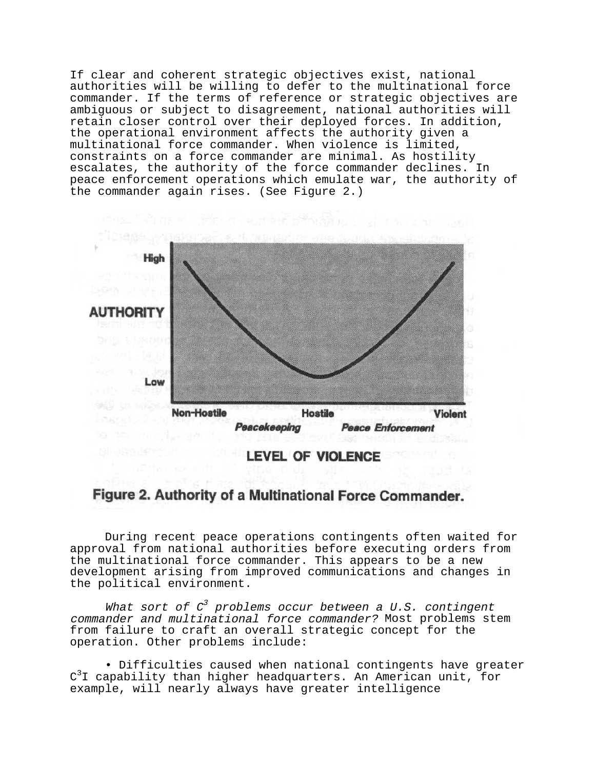If clear and coherent strategic objectives exist, national authorities will be willing to defer to the multinational force commander. If the terms of reference or strategic objectives are ambiguous or subject to disagreement, national authorities will retain closer control over their deployed forces. In addition, the operational environment affects the authority given a multinational force commander. When violence is limited, constraints on a force commander are minimal. As hostility escalates, the authority of the force commander declines. In peace enforcement operations which emulate war, the authority of the commander again rises. (See Figure 2.)



# Figure 2. Authority of a Multinational Force Commander.

During recent peace operations contingents often waited for approval from national authorities before executing orders from the multinational force commander. This appears to be a new development arising from improved communications and changes in the political environment.

What sort of  $C^3$  problems occur between a U.S. contingent commander and multinational force commander? Most problems stem from failure to craft an overall strategic concept for the operation. Other problems include:

• Difficulties caused when national contingents have greater  $\texttt{C}^3\texttt{I}$  capability than higher headquarters. An American unit, for example, will nearly always have greater intelligence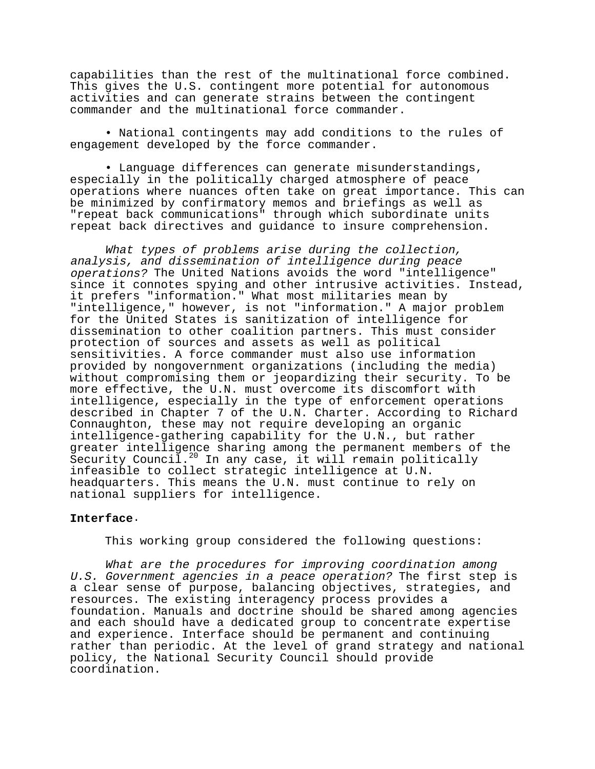capabilities than the rest of the multinational force combined. This gives the U.S. contingent more potential for autonomous activities and can generate strains between the contingent commander and the multinational force commander.

• National contingents may add conditions to the rules of engagement developed by the force commander.

• Language differences can generate misunderstandings, especially in the politically charged atmosphere of peace operations where nuances often take on great importance. This can be minimized by confirmatory memos and briefings as well as "repeat back communications" through which subordinate units repeat back directives and guidance to insure comprehension.

What types of problems arise during the collection, analysis, and dissemination of intelligence during peace operations? The United Nations avoids the word "intelligence" since it connotes spying and other intrusive activities. Instead, it prefers "information." What most militaries mean by "intelligence," however, is not "information." A major problem for the United States is sanitization of intelligence for dissemination to other coalition partners. This must consider protection of sources and assets as well as political sensitivities. A force commander must also use information provided by nongovernment organizations (including the media) without compromising them or jeopardizing their security. To be more effective, the U.N. must overcome its discomfort with intelligence, especially in the type of enforcement operations described in Chapter 7 of the U.N. Charter. According to Richard Connaughton, these may not require developing an organic intelligence-gathering capability for the U.N., but rather greater intelligence sharing among the permanent members of the Security Council.<sup>20</sup> In any case, it will remain politically infeasible to collect strategic intelligence at U.N. headquarters. This means the U.N. must continue to rely on national suppliers for intelligence.

# **Interface**.

This working group considered the following questions:

What are the procedures for improving coordination among U.S. Government agencies in a peace operation? The first step is a clear sense of purpose, balancing objectives, strategies, and resources. The existing interagency process provides a foundation. Manuals and doctrine should be shared among agencies and each should have a dedicated group to concentrate expertise and experience. Interface should be permanent and continuing rather than periodic. At the level of grand strategy and national policy, the National Security Council should provide coordination.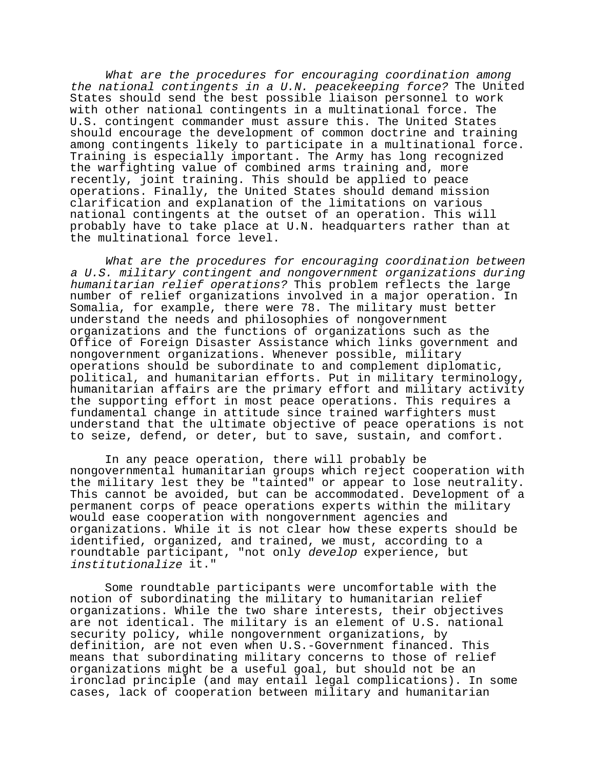What are the procedures for encouraging coordination among the national contingents in a U.N. peacekeeping force? The United States should send the best possible liaison personnel to work with other national contingents in a multinational force. The U.S. contingent commander must assure this. The United States should encourage the development of common doctrine and training among contingents likely to participate in a multinational force. Training is especially important. The Army has long recognized the warfighting value of combined arms training and, more recently, joint training. This should be applied to peace operations. Finally, the United States should demand mission clarification and explanation of the limitations on various national contingents at the outset of an operation. This will probably have to take place at U.N. headquarters rather than at the multinational force level.

What are the procedures for encouraging coordination between a U.S. military contingent and nongovernment organizations during humanitarian relief operations? This problem reflects the large number of relief organizations involved in a major operation. In Somalia, for example, there were 78. The military must better understand the needs and philosophies of nongovernment organizations and the functions of organizations such as the Office of Foreign Disaster Assistance which links government and nongovernment organizations. Whenever possible, military operations should be subordinate to and complement diplomatic, political, and humanitarian efforts. Put in military terminology, humanitarian affairs are the primary effort and military activity the supporting effort in most peace operations. This requires a fundamental change in attitude since trained warfighters must understand that the ultimate objective of peace operations is not to seize, defend, or deter, but to save, sustain, and comfort.

In any peace operation, there will probably be nongovernmental humanitarian groups which reject cooperation with the military lest they be "tainted" or appear to lose neutrality. This cannot be avoided, but can be accommodated. Development of a permanent corps of peace operations experts within the military would ease cooperation with nongovernment agencies and organizations. While it is not clear how these experts should be identified, organized, and trained, we must, according to a roundtable participant, "not only develop experience, but institutionalize it."

Some roundtable participants were uncomfortable with the notion of subordinating the military to humanitarian relief organizations. While the two share interests, their objectives are not identical. The military is an element of U.S. national security policy, while nongovernment organizations, by definition, are not even when U.S.-Government financed. This means that subordinating military concerns to those of relief organizations might be a useful goal, but should not be an ironclad principle (and may entail legal complications). In some cases, lack of cooperation between military and humanitarian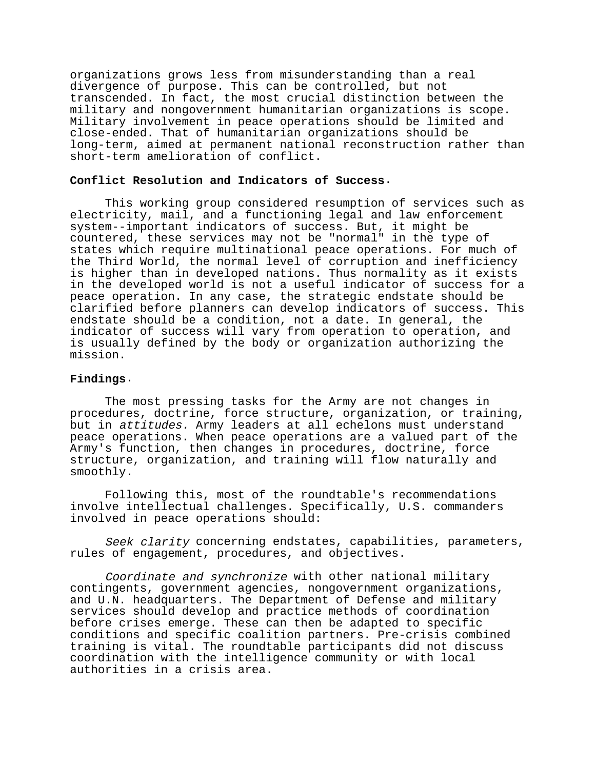organizations grows less from misunderstanding than a real divergence of purpose. This can be controlled, but not transcended. In fact, the most crucial distinction between the military and nongovernment humanitarian organizations is scope. Military involvement in peace operations should be limited and close-ended. That of humanitarian organizations should be long-term, aimed at permanent national reconstruction rather than short-term amelioration of conflict.

#### **Conflict Resolution and Indicators of Success**.

This working group considered resumption of services such as electricity, mail, and a functioning legal and law enforcement system--important indicators of success. But, it might be countered, these services may not be "normal" in the type of states which require multinational peace operations. For much of the Third World, the normal level of corruption and inefficiency is higher than in developed nations. Thus normality as it exists in the developed world is not a useful indicator of success for a peace operation. In any case, the strategic endstate should be clarified before planners can develop indicators of success. This endstate should be a condition, not a date. In general, the indicator of success will vary from operation to operation, and is usually defined by the body or organization authorizing the mission.

## **Findings**.

The most pressing tasks for the Army are not changes in procedures, doctrine, force structure, organization, or training, but in attitudes. Army leaders at all echelons must understand peace operations. When peace operations are a valued part of the Army's function, then changes in procedures, doctrine, force structure, organization, and training will flow naturally and smoothly.

Following this, most of the roundtable's recommendations involve intellectual challenges. Specifically, U.S. commanders involved in peace operations should:

Seek clarity concerning endstates, capabilities, parameters, rules of engagement, procedures, and objectives.

Coordinate and synchronize with other national military contingents, government agencies, nongovernment organizations, and U.N. headquarters. The Department of Defense and military services should develop and practice methods of coordination before crises emerge. These can then be adapted to specific conditions and specific coalition partners. Pre-crisis combined training is vital. The roundtable participants did not discuss coordination with the intelligence community or with local authorities in a crisis area.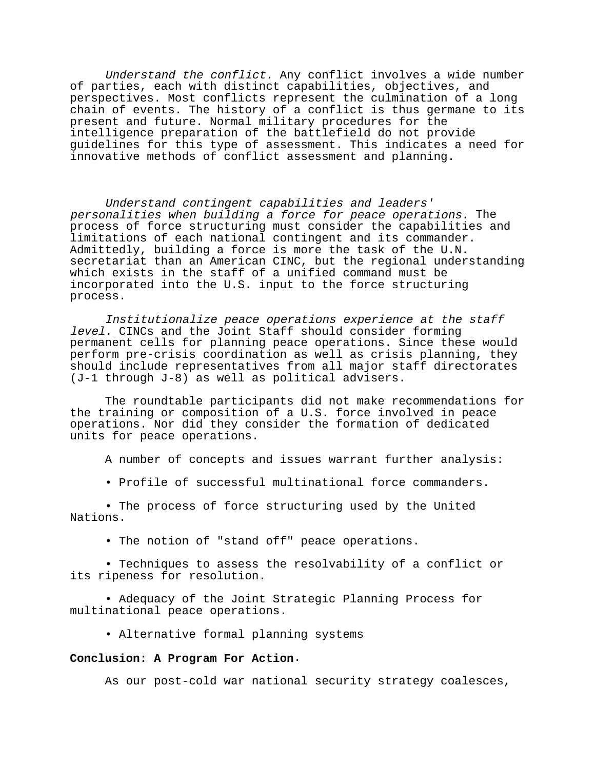Understand the conflict. Any conflict involves a wide number of parties, each with distinct capabilities, objectives, and perspectives. Most conflicts represent the culmination of a long chain of events. The history of a conflict is thus germane to its present and future. Normal military procedures for the intelligence preparation of the battlefield do not provide guidelines for this type of assessment. This indicates a need for innovative methods of conflict assessment and planning.

Understand contingent capabilities and leaders' personalities when building a force for peace operations. The process of force structuring must consider the capabilities and limitations of each national contingent and its commander. Admittedly, building a force is more the task of the U.N. secretariat than an American CINC, but the regional understanding which exists in the staff of a unified command must be incorporated into the U.S. input to the force structuring process.

Institutionalize peace operations experience at the staff level. CINCs and the Joint Staff should consider forming permanent cells for planning peace operations. Since these would perform pre-crisis coordination as well as crisis planning, they should include representatives from all major staff directorates (J-1 through J-8) as well as political advisers.

The roundtable participants did not make recommendations for the training or composition of a U.S. force involved in peace operations. Nor did they consider the formation of dedicated units for peace operations.

A number of concepts and issues warrant further analysis:

• Profile of successful multinational force commanders.

• The process of force structuring used by the United Nations.

• The notion of "stand off" peace operations.

• Techniques to assess the resolvability of a conflict or its ripeness for resolution.

• Adequacy of the Joint Strategic Planning Process for multinational peace operations.

• Alternative formal planning systems

#### **Conclusion: A Program For Action**.

As our post-cold war national security strategy coalesces,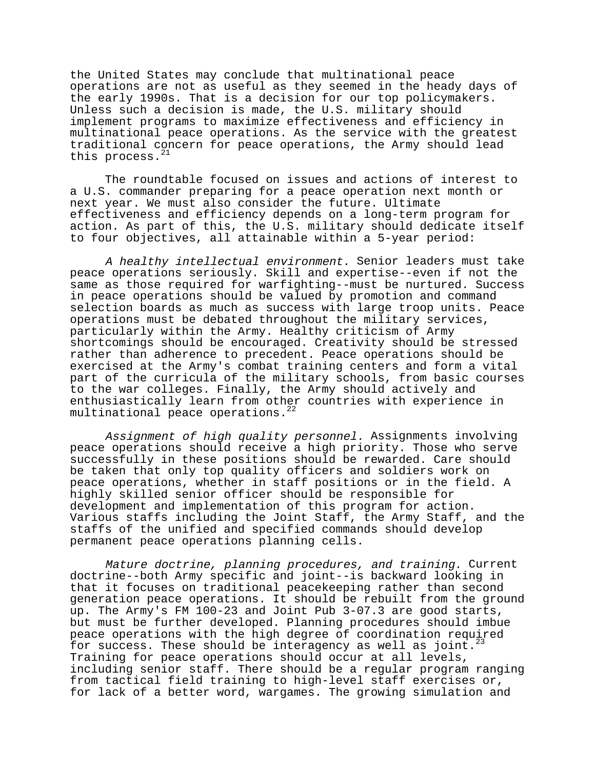the United States may conclude that multinational peace operations are not as useful as they seemed in the heady days of the early 1990s. That is a decision for our top policymakers. Unless such a decision is made, the U.S. military should implement programs to maximize effectiveness and efficiency in multinational peace operations. As the service with the greatest traditional concern for peace operations, the Army should lead this process. $^{21}$ 

The roundtable focused on issues and actions of interest to a U.S. commander preparing for a peace operation next month or next year. We must also consider the future. Ultimate effectiveness and efficiency depends on a long-term program for action. As part of this, the U.S. military should dedicate itself to four objectives, all attainable within a 5-year period:

A healthy intellectual environment. Senior leaders must take peace operations seriously. Skill and expertise--even if not the same as those required for warfighting--must be nurtured. Success in peace operations should be valued by promotion and command selection boards as much as success with large troop units. Peace operations must be debated throughout the military services, particularly within the Army. Healthy criticism of Army shortcomings should be encouraged. Creativity should be stressed rather than adherence to precedent. Peace operations should be exercised at the Army's combat training centers and form a vital part of the curricula of the military schools, from basic courses to the war colleges. Finally, the Army should actively and enthusiastically learn from other countries with experience in multinational peace operations.<sup>22</sup>

Assignment of high quality personnel. Assignments involving peace operations should receive a high priority. Those who serve successfully in these positions should be rewarded. Care should be taken that only top quality officers and soldiers work on peace operations, whether in staff positions or in the field. A highly skilled senior officer should be responsible for development and implementation of this program for action. Various staffs including the Joint Staff, the Army Staff, and the staffs of the unified and specified commands should develop permanent peace operations planning cells.

Mature doctrine, planning procedures, and training. Current doctrine--both Army specific and joint--is backward looking in that it focuses on traditional peacekeeping rather than second generation peace operations. It should be rebuilt from the ground up. The Army's FM 100-23 and Joint Pub 3-07.3 are good starts, but must be further developed. Planning procedures should imbue peace operations with the high degree of coordination required for success. These should be interagency as well as joint.<sup>23</sup> Training for peace operations should occur at all levels, including senior staff. There should be a regular program ranging from tactical field training to high-level staff exercises or, for lack of a better word, wargames. The growing simulation and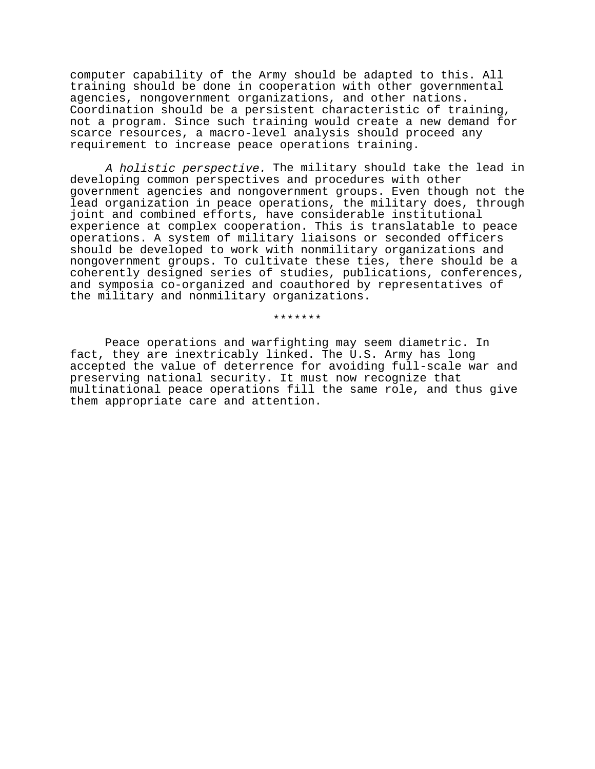computer capability of the Army should be adapted to this. All training should be done in cooperation with other governmental agencies, nongovernment organizations, and other nations. Coordination should be a persistent characteristic of training, not a program. Since such training would create a new demand for scarce resources, a macro-level analysis should proceed any requirement to increase peace operations training.

A holistic perspective. The military should take the lead in developing common perspectives and procedures with other government agencies and nongovernment groups. Even though not the lead organization in peace operations, the military does, through joint and combined efforts, have considerable institutional experience at complex cooperation. This is translatable to peace operations. A system of military liaisons or seconded officers should be developed to work with nonmilitary organizations and nongovernment groups. To cultivate these ties, there should be a coherently designed series of studies, publications, conferences, and symposia co-organized and coauthored by representatives of the military and nonmilitary organizations.

\*\*\*\*\*\*\*

Peace operations and warfighting may seem diametric. In fact, they are inextricably linked. The U.S. Army has long accepted the value of deterrence for avoiding full-scale war and preserving national security. It must now recognize that multinational peace operations fill the same role, and thus give them appropriate care and attention.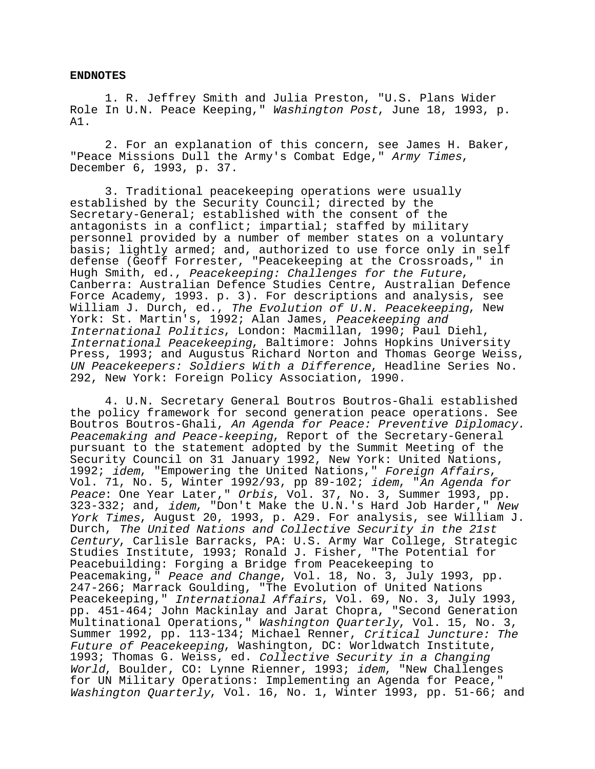#### **ENDNOTES**

1. R. Jeffrey Smith and Julia Preston, "U.S. Plans Wider Role In U.N. Peace Keeping," Washington Post, June 18, 1993, p. A1.

2. For an explanation of this concern, see James H. Baker, "Peace Missions Dull the Army's Combat Edge," Army Times, December 6, 1993, p. 37.

3. Traditional peacekeeping operations were usually established by the Security Council; directed by the Secretary-General; established with the consent of the antagonists in a conflict; impartial; staffed by military personnel provided by a number of member states on a voluntary basis; lightly armed; and, authorized to use force only in self defense (Geoff Forrester, "Peacekeeping at the Crossroads," in Hugh Smith, ed., Peacekeeping: Challenges for the Future,<br>Canberra: Australian Defence Studies Centre, Australian Defence Force Academy, 1993. p. 3). For descriptions and analysis, see William J. Durch, ed., The Evolution of U.N. Peacekeeping, New York: St. Martin's, 1992; Alan James, Peacekeeping and International Politics, London: Macmillan, 1990; Paul Diehl, International Peacekeeping, Baltimore: Johns Hopkins University Press, 1993; and Augustus Richard Norton and Thomas George Weiss, UN Peacekeepers: Soldiers With a Difference, Headline Series No. 292, New York: Foreign Policy Association, 1990.

4. U.N. Secretary General Boutros Boutros-Ghali established the policy framework for second generation peace operations. See Boutros Boutros-Ghali, An Agenda for Peace: Preventive Diplomacy. Peacemaking and Peace-keeping, Report of the Secretary-General pursuant to the statement adopted by the Summit Meeting of the Security Council on 31 January 1992, New York: United Nations, 1992; idem, "Empowering the United Nations," Foreign Affairs,<br>Vol. 71, No. 5, Winter 1992/93, pp 89-102; idem, "An Agenda for Peace: One Year Later," Orbis, Vol. 37, No. 3, Summer 1993, pp. 323-332; and, idem, "Don't Make the U.N.'s Hard Job Harder," New York Times, August 20, 1993, p. A29. For analysis, see William J. Durch, The United Nations and Collective Security in the 21st Century, Carlisle Barracks, PA: U.S. Army War College, Strategic Studies Institute, 1993; Ronald J. Fisher, "The Potential for Peacebuilding: Forging a Bridge from Peacekeeping to Peacemaking," Peace and Change, Vol. 18, No. 3, July 1993, pp. 247-266; Marrack Goulding, "The Evolution of United Nations Peacekeeping," International Affairs, Vol. 69, No. 3, July 1993, pp. 451-464; John Mackinlay and Jarat Chopra, "Second Generation Multinational Operations," Washington Quarterly, Vol. 15, No. 3, Summer 1992, pp. 113-134; Michael Renner, Critical Juncture: The Future of Peacekeeping, Washington, DC: Worldwatch Institute, 1993; Thomas G. Weiss, ed. Collective Security in a Changing World, Boulder, CO: Lynne Rienner, 1993; idem, "New Challenges for UN Military Operations: Implementing an Agenda for Peace," Washington Quarterly, Vol. 16, No. 1, Winter 1993, pp. 51-66; and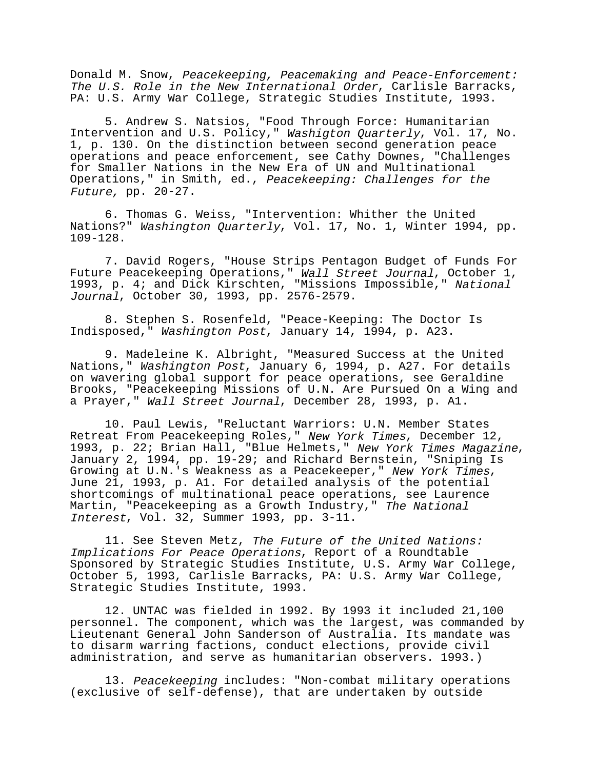Donald M. Snow, Peacekeeping, Peacemaking and Peace-Enforcement: The U.S. Role in the New International Order, Carlisle Barracks, PA: U.S. Army War College, Strategic Studies Institute, 1993.

5. Andrew S. Natsios, "Food Through Force: Humanitarian Intervention and U.S. Policy," Washigton Quarterly, Vol. 17, No. 1, p. 130. On the distinction between second generation peace operations and peace enforcement, see Cathy Downes, "Challenges for Smaller Nations in the New Era of UN and Multinational Operations," in Smith, ed., Peacekeeping: Challenges for the Future, pp. 20-27.

6. Thomas G. Weiss, "Intervention: Whither the United Nations?" Washington Quarterly, Vol. 17, No. 1, Winter 1994, pp. 109-128.

7. David Rogers, "House Strips Pentagon Budget of Funds For Future Peacekeeping Operations," Wall Street Journal, October 1, 1993, p. 4; and Dick Kirschten, "Missions Impossible," National Journal, October 30, 1993, pp. 2576-2579.

8. Stephen S. Rosenfeld, "Peace-Keeping: The Doctor Is Indisposed," Washington Post, January 14, 1994, p. A23.

9. Madeleine K. Albright, "Measured Success at the United Nations," Washington Post, January 6, 1994, p. A27. For details on wavering global support for peace operations, see Geraldine Brooks, "Peacekeeping Missions of U.N. Are Pursued On a Wing and a Prayer," Wall Street Journal, December 28, 1993, p. A1.

10. Paul Lewis, "Reluctant Warriors: U.N. Member States Retreat From Peacekeeping Roles," New York Times, December 12, 1993, p. 22; Brian Hall, "Blue Helmets," New York Times Magazine,<br>January 2, 1994, pp. 19-29; and Richard Bernstein, "Sniping Is<br>Growing at U.N.'s Weakness as a Peacekeeper," New York Times, June 21, 1993, p. A1. For detailed analysis of the potential shortcomings of multinational peace operations, see Laurence Martin, "Peacekeeping as a Growth Industry," The National Interest, Vol. 32, Summer 1993, pp. 3-11.

11. See Steven Metz, The Future of the United Nations: Implications For Peace Operations, Report of a Roundtable Sponsored by Strategic Studies Institute, U.S. Army War College, October 5, 1993, Carlisle Barracks, PA: U.S. Army War College, Strategic Studies Institute, 1993.

12. UNTAC was fielded in 1992. By 1993 it included 21,100 personnel. The component, which was the largest, was commanded by Lieutenant General John Sanderson of Australia. Its mandate was to disarm warring factions, conduct elections, provide civil administration, and serve as humanitarian observers. 1993.)

13. Peacekeeping includes: "Non-combat military operations (exclusive of self-defense), that are undertaken by outside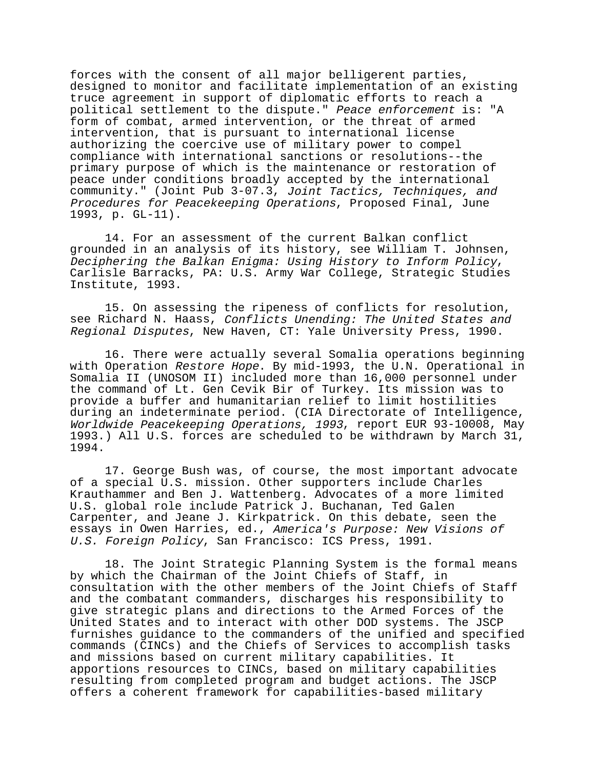forces with the consent of all major belligerent parties, designed to monitor and facilitate implementation of an existing truce agreement in support of diplomatic efforts to reach a political settlement to the dispute." Peace enforcement is: "A form of combat, armed intervention, or the threat of armed intervention, that is pursuant to international license authorizing the coercive use of military power to compel compliance with international sanctions or resolutions--the primary purpose of which is the maintenance or restoration of peace under conditions broadly accepted by the international community." (Joint Pub 3-07.3, Joint Tactics, Techniques, and Procedures for Peacekeeping Operations, Proposed Final, June 1993, p. GL-11).

14. For an assessment of the current Balkan conflict grounded in an analysis of its history, see William T. Johnsen, Deciphering the Balkan Enigma: Using History to Inform Policy, Carlisle Barracks, PA: U.S. Army War College, Strategic Studies Institute, 1993.

15. On assessing the ripeness of conflicts for resolution, see Richard N. Haass, Conflicts Unending: The United States and Regional Disputes, New Haven, CT: Yale University Press, 1990.

16. There were actually several Somalia operations beginning with Operation Restore Hope. By mid-1993, the U.N. Operational in Somalia II (UNOSOM II) included more than 16,000 personnel under the command of Lt. Gen Cevik Bir of Turkey. Its mission was to provide a buffer and humanitarian relief to limit hostilities during an indeterminate period. (CIA Directorate of Intelligence, Worldwide Peacekeeping Operations, 1993, report EUR 93-10008, May 1993.) All U.S. forces are scheduled to be withdrawn by March 31, 1994.

17. George Bush was, of course, the most important advocate of a special U.S. mission. Other supporters include Charles Krauthammer and Ben J. Wattenberg. Advocates of a more limited U.S. global role include Patrick J. Buchanan, Ted Galen Carpenter, and Jeane J. Kirkpatrick. On this debate, seen the essays in Owen Harries, ed., America's Purpose: New Visions of U.S. Foreign Policy, San Francisco: ICS Press, 1991.

18. The Joint Strategic Planning System is the formal means by which the Chairman of the Joint Chiefs of Staff, in consultation with the other members of the Joint Chiefs of Staff and the combatant commanders, discharges his responsibility to give strategic plans and directions to the Armed Forces of the United States and to interact with other DOD systems. The JSCP furnishes guidance to the commanders of the unified and specified commands (CINCs) and the Chiefs of Services to accomplish tasks and missions based on current military capabilities. It apportions resources to CINCs, based on military capabilities resulting from completed program and budget actions. The JSCP offers a coherent framework for capabilities-based military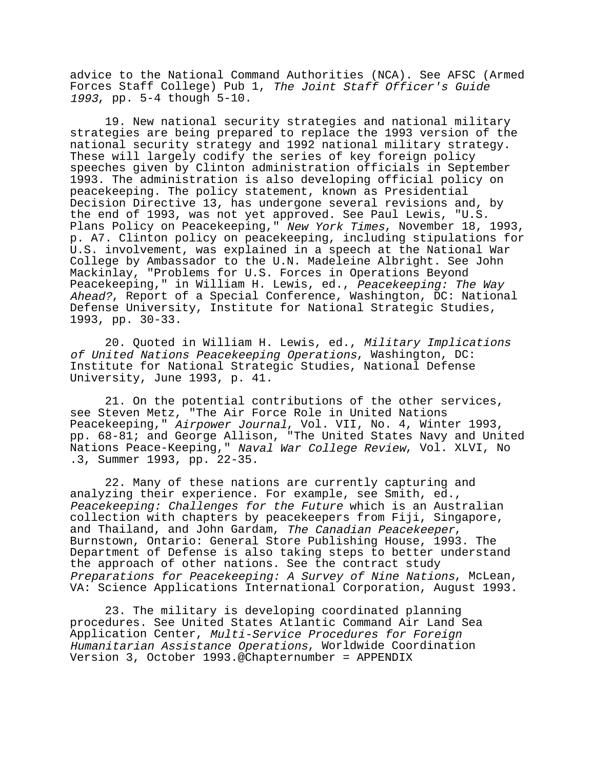advice to the National Command Authorities (NCA). See AFSC (Armed Forces Staff College) Pub 1, The Joint Staff Officer's Guide <sup>1993</sup>, pp. 5-4 though 5-10.

19. New national security strategies and national military strategies are being prepared to replace the 1993 version of the national security strategy and 1992 national military strategy. These will largely codify the series of key foreign policy speeches given by Clinton administration officials in September 1993. The administration is also developing official policy on peacekeeping. The policy statement, known as Presidential Decision Directive 13, has undergone several revisions and, by the end of 1993, was not yet approved. See Paul Lewis, "U.S. Plans Policy on Peacekeeping," New York Times, November 18, 1993, p. A7. Clinton policy on peacekeeping, including stipulations for U.S. involvement, was explained in a speech at the National War College by Ambassador to the U.N. Madeleine Albright. See John Mackinlay, "Problems for U.S. Forces in Operations Beyond Peacekeeping," in William H. Lewis, ed., Peacekeeping: The Way Ahead?, Report of a Special Conference, Washington, DC: National Defense University, Institute for National Strategic Studies, 1993, pp. 30-33.

20. Quoted in William H. Lewis, ed., Military Implications of United Nations Peacekeeping Operations, Washington, DC: Institute for National Strategic Studies, National Defense University, June 1993, p. 41.

21. On the potential contributions of the other services, see Steven Metz, "The Air Force Role in United Nations Peacekeeping," Airpower Journal, Vol. VII, No. 4, Winter 1993, pp. 68-81; and George Allison, "The United States Navy and United Nations Peace-Keeping," Naval War College Review, Vol. XLVI, No .3, Summer 1993, pp. 22-35.

22. Many of these nations are currently capturing and analyzing their experience. For example, see Smith, ed., Peacekeeping: Challenges for the Future which is an Australian collection with chapters by peacekeepers from Fiji, Singapore,<br>and Thailand, and John Gardam, The Canadian Peacekeeper, Burnstown, Ontario: General Store Publishing House, 1993. The Department of Defense is also taking steps to better understand the approach of other nations. See the contract study Preparations for Peacekeeping: A Survey of Nine Nations, McLean, VA: Science Applications International Corporation, August 1993.

23. The military is developing coordinated planning procedures. See United States Atlantic Command Air Land Sea Application Center, Multi-Service Procedures for Foreign Humanitarian Assistance Operations, Worldwide Coordination Version 3, October 1993.@Chapternumber = APPENDIX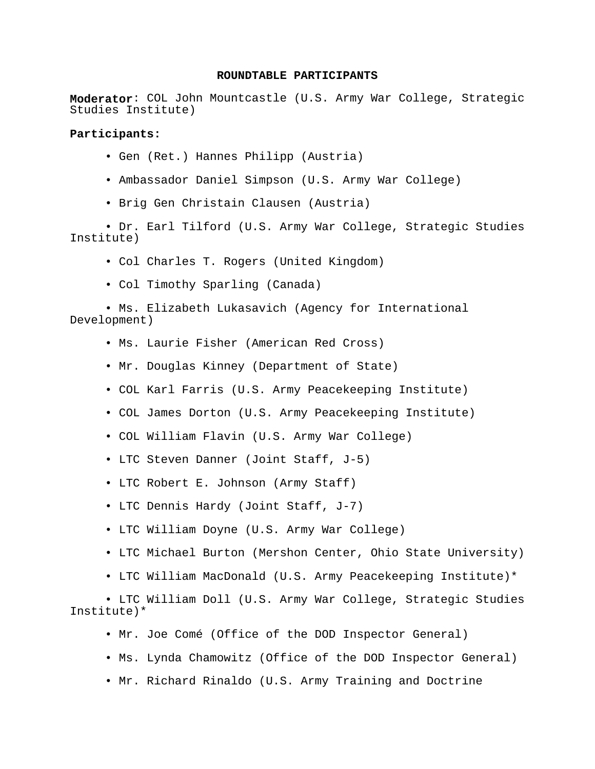## **ROUNDTABLE PARTICIPANTS**

**Moderator**: COL John Mountcastle (U.S. Army War College, Strategic Studies Institute)

# **Participants:**

- Gen (Ret.) Hannes Philipp (Austria)
- Ambassador Daniel Simpson (U.S. Army War College)
- Brig Gen Christain Clausen (Austria)

• Dr. Earl Tilford (U.S. Army War College, Strategic Studies Institute)

- Col Charles T. Rogers (United Kingdom)
- Col Timothy Sparling (Canada)
- Ms. Elizabeth Lukasavich (Agency for International Development)
	- Ms. Laurie Fisher (American Red Cross)
	- Mr. Douglas Kinney (Department of State)
	- COL Karl Farris (U.S. Army Peacekeeping Institute)
	- COL James Dorton (U.S. Army Peacekeeping Institute)
	- COL William Flavin (U.S. Army War College)
	- LTC Steven Danner (Joint Staff, J-5)
	- LTC Robert E. Johnson (Army Staff)
	- LTC Dennis Hardy (Joint Staff, J-7)
	- LTC William Doyne (U.S. Army War College)
	- LTC Michael Burton (Mershon Center, Ohio State University)
	- LTC William MacDonald (U.S. Army Peacekeeping Institute)\*

• LTC William Doll (U.S. Army War College, Strategic Studies Institute)\*

- Mr. Joe Comé (Office of the DOD Inspector General)
- Ms. Lynda Chamowitz (Office of the DOD Inspector General)
- Mr. Richard Rinaldo (U.S. Army Training and Doctrine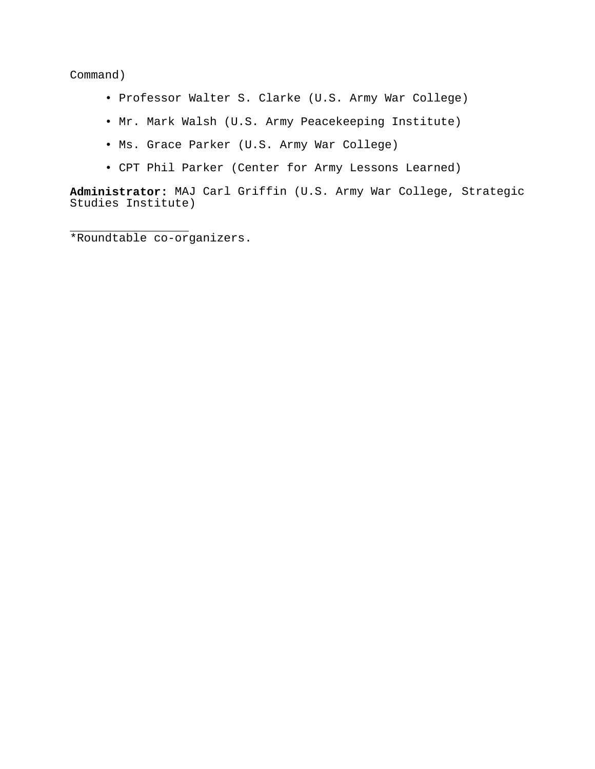Command)

- Professor Walter S. Clarke (U.S. Army War College)
- Mr. Mark Walsh (U.S. Army Peacekeeping Institute)
- Ms. Grace Parker (U.S. Army War College)
- CPT Phil Parker (Center for Army Lessons Learned)

**Administrator:** MAJ Carl Griffin (U.S. Army War College, Strategic Studies Institute)

\_\_\_\_\_\_\_\_\_\_\_\_\_\_\_\_\_ \*Roundtable co-organizers.